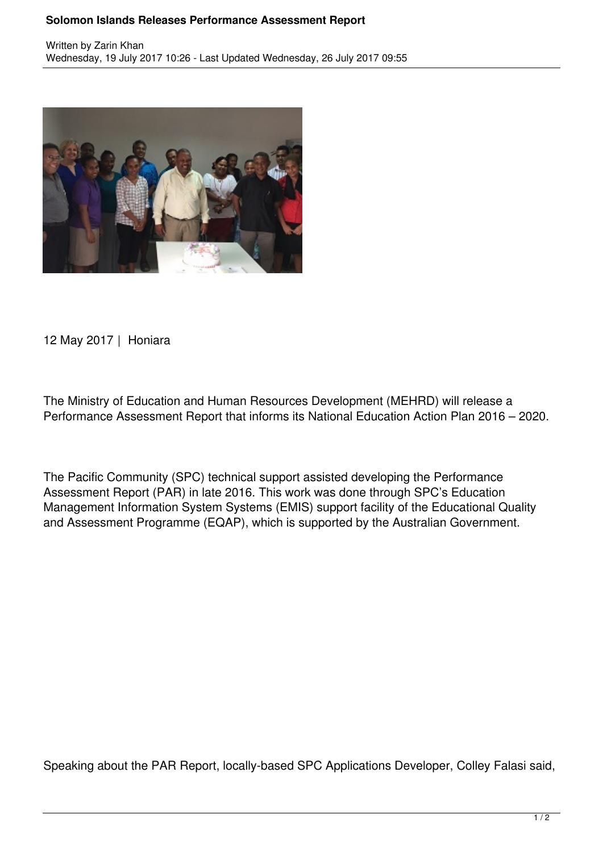## **Solomon Islands Releases Performance Assessment Report**



12 May 2017 | Honiara

The Ministry of Education and Human Resources Development (MEHRD) will release a Performance Assessment Report that informs its National Education Action Plan 2016 – 2020.

The Pacific Community (SPC) technical support assisted developing the Performance Assessment Report (PAR) in late 2016. This work was done through SPC's Education Management Information System Systems (EMIS) support facility of the Educational Quality and Assessment Programme (EQAP), which is supported by the Australian Government.

Speaking about the PAR Report, locally-based SPC Applications Developer, Colley Falasi said,